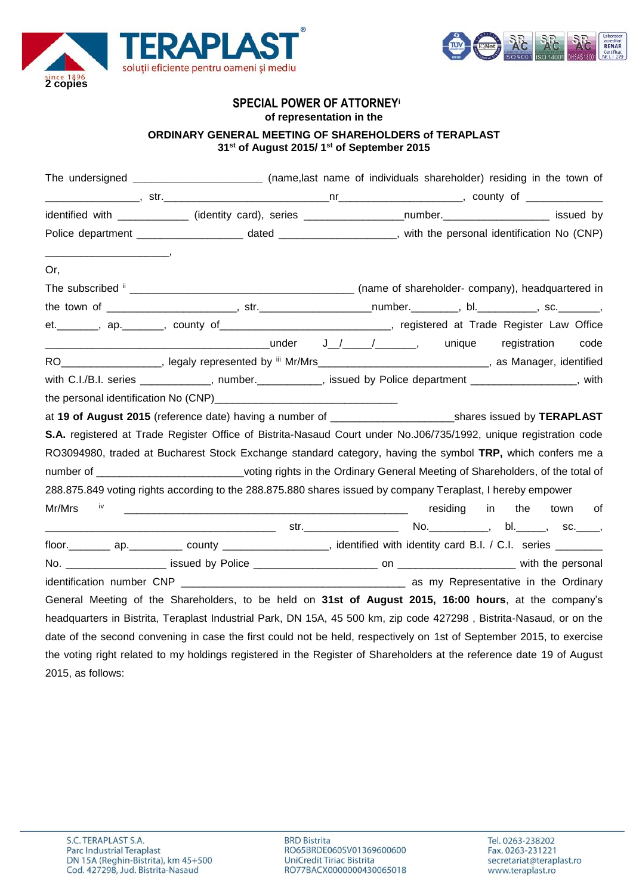



# **SPECIAL POWER OF ATTORNEY<sup>i</sup>**

**of representation in the**

## **ORDINARY GENERAL MEETING OF SHAREHOLDERS of TERAPLAST 31st of August 2015/ 1st of September 2015**

|                   | The undersigned ________________________(name,last name of individuals shareholder) residing in the town of             |  |             |          |    |
|-------------------|-------------------------------------------------------------------------------------------------------------------------|--|-------------|----------|----|
|                   |                                                                                                                         |  |             |          |    |
|                   | identified with _____________ (identity card), series __________________number.____________________ issued by           |  |             |          |    |
|                   | Police department ______________________ dated _____________________, with the personal identification No (CNP)         |  |             |          |    |
| Or,               |                                                                                                                         |  |             |          |    |
|                   |                                                                                                                         |  |             |          |    |
|                   |                                                                                                                         |  |             |          |    |
|                   | et. _______, ap. ______, county of ____________________________, registered at Trade Register Law Office                |  |             |          |    |
|                   |                                                                                                                         |  |             |          |    |
|                   | RO__________________, legaly represented by iii Mr/Mrs____________________________, as Manager, identified              |  |             |          |    |
|                   | with C.I./B.I. series ____________, number.__________, issued by Police department _______________, with                |  |             |          |    |
|                   |                                                                                                                         |  |             |          |    |
|                   | at 19 of August 2015 (reference date) having a number of _____________________________shares issued by TERAPLAST        |  |             |          |    |
|                   | S.A. registered at Trade Register Office of Bistrita-Nasaud Court under No.J06/735/1992, unique registration code       |  |             |          |    |
|                   | RO3094980, traded at Bucharest Stock Exchange standard category, having the symbol TRP, which confers me a              |  |             |          |    |
|                   | number of _______________________________voting rights in the Ordinary General Meeting of Shareholders, of the total of |  |             |          |    |
|                   | 288.875.849 voting rights according to the 288.875.880 shares issued by company Teraplast, I hereby empower             |  |             |          |    |
| Mr/Mrs<br>iv      |                                                                                                                         |  | residing in | the town | of |
|                   |                                                                                                                         |  |             |          |    |
|                   |                                                                                                                         |  |             |          |    |
|                   |                                                                                                                         |  |             |          |    |
|                   |                                                                                                                         |  |             |          |    |
|                   | General Meeting of the Shareholders, to be held on 31st of August 2015, 16:00 hours, at the company's                   |  |             |          |    |
|                   | headquarters in Bistrita, Teraplast Industrial Park, DN 15A, 45 500 km, zip code 427298, Bistrita-Nasaud, or on the     |  |             |          |    |
|                   | date of the second convening in case the first could not be held, respectively on 1st of September 2015, to exercise    |  |             |          |    |
|                   | the voting right related to my holdings registered in the Register of Shareholders at the reference date 19 of August   |  |             |          |    |
| 2015, as follows: |                                                                                                                         |  |             |          |    |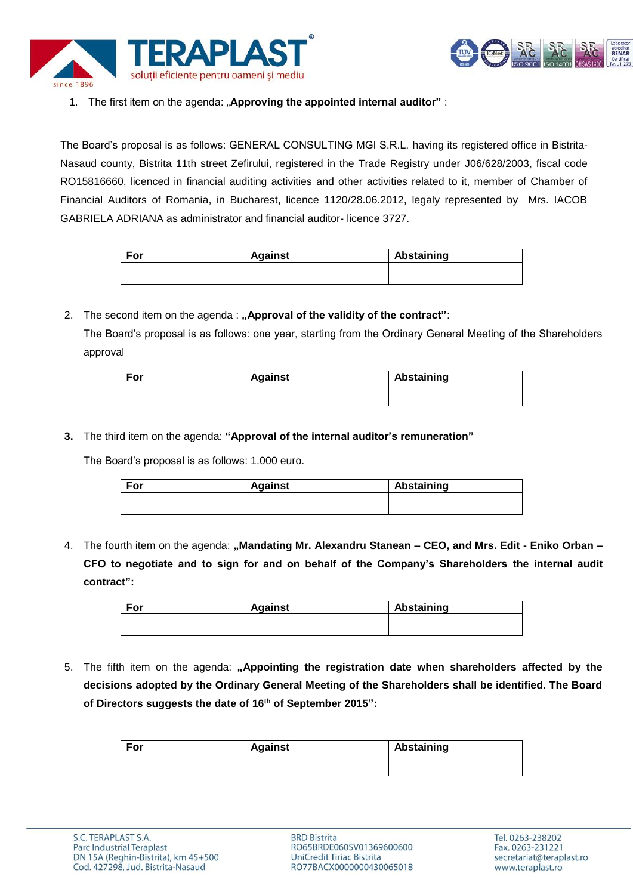



## 1. The first item on the agenda: "**Approving the appointed internal auditor"** :

The Board's proposal is as follows: GENERAL CONSULTING MGI S.R.L. having its registered office in Bistrita-Nasaud county, Bistrita 11th street Zefirului, registered in the Trade Registry under J06/628/2003, fiscal code RO15816660, licenced in financial auditing activities and other activities related to it, member of Chamber of Financial Auditors of Romania, in Bucharest, licence 1120/28.06.2012, legaly represented by Mrs. IACOB GABRIELA ADRIANA as administrator and financial auditor- licence 3727.

| For | <b>Against</b> | Abstaining |
|-----|----------------|------------|
|     |                |            |
|     |                |            |

2. The second item on the agenda : "Approval of the validity of the contract":

The Board's proposal is as follows: one year, starting from the Ordinary General Meeting of the Shareholders approval

| For | <b>Against</b> | Abstaining |
|-----|----------------|------------|
|     |                |            |
|     |                |            |

**3.** The third item on the agenda: **"Approval of the internal auditor's remuneration"** 

The Board's proposal is as follows: 1.000 euro.

| For | <b>Against</b> | Abstaining |
|-----|----------------|------------|
|     |                |            |
|     |                |            |

4. The fourth item on the agenda: **"Mandating Mr. Alexandru Stanean – CEO, and Mrs. Edit - Eniko Orban – CFO to negotiate and to sign for and on behalf of the Company's Shareholders the internal audit contract":**

| For | <b>Against</b> | Abstaining |
|-----|----------------|------------|
|     |                |            |
|     |                |            |

5. The fifth item on the agenda: "Appointing the registration date when shareholders affected by the **decisions adopted by the Ordinary General Meeting of the Shareholders shall be identified. The Board of Directors suggests the date of 16th of September 2015":**

| For | <b>Against</b> | Abstaining |
|-----|----------------|------------|
|     |                |            |
|     |                |            |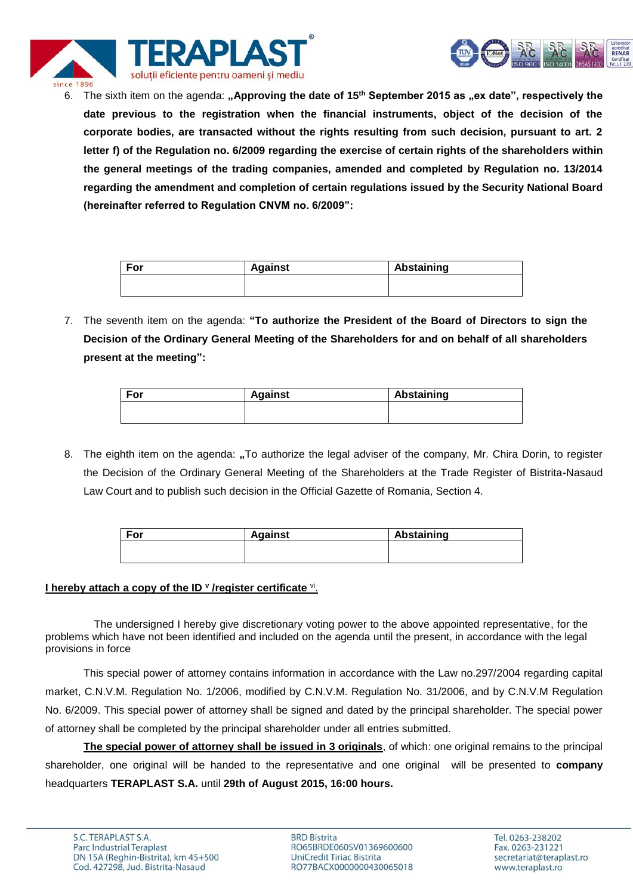



6. The sixth item on the agenda: "Approving the date of 15<sup>th</sup> September 2015 as "ex date", respectively the **date previous to the registration when the financial instruments, object of the decision of the corporate bodies, are transacted without the rights resulting from such decision, pursuant to art. 2 letter f) of the Regulation no. 6/2009 regarding the exercise of certain rights of the shareholders within the general meetings of the trading companies, amended and completed by Regulation no. 13/2014 regarding the amendment and completion of certain regulations issued by the Security National Board (hereinafter referred to Regulation CNVM no. 6/2009":**

| For | <b>Against</b> | Abstaining |
|-----|----------------|------------|
|     |                |            |
|     |                |            |

7. The seventh item on the agenda: **"To authorize the President of the Board of Directors to sign the Decision of the Ordinary General Meeting of the Shareholders for and on behalf of all shareholders present at the meeting":**

| For | <b>Against</b> | Abstaining |
|-----|----------------|------------|
|     |                |            |
|     |                |            |

8. The eighth item on the agenda: "To authorize the legal adviser of the company, Mr. Chira Dorin, to register the Decision of the Ordinary General Meeting of the Shareholders at the Trade Register of Bistrita-Nasaud Law Court and to publish such decision in the Official Gazette of Romania, Section 4.

| For | <b>Against</b> | Abstaining |  |
|-----|----------------|------------|--|
|     |                |            |  |
|     |                |            |  |

#### **I hereby attach a copy of the ID <b>v** /register certificate vi.

The undersigned I hereby give discretionary voting power to the above appointed representative, for the problems which have not been identified and included on the agenda until the present, in accordance with the legal provisions in force

This special power of attorney contains information in accordance with the Law no.297/2004 regarding capital market, C.N.V.M. Regulation No. 1/2006, modified by C.N.V.M. Regulation No. 31/2006, and by C.N.V.M Regulation No. 6/2009. This special power of attorney shall be signed and dated by the principal shareholder. The special power of attorney shall be completed by the principal shareholder under all entries submitted.

**The special power of attorney shall be issued in 3 originals**, of which: one original remains to the principal shareholder, one original will be handed to the representative and one original will be presented to **company** headquarters **TERAPLAST S.A.** until **29th of August 2015, 16:00 hours.**